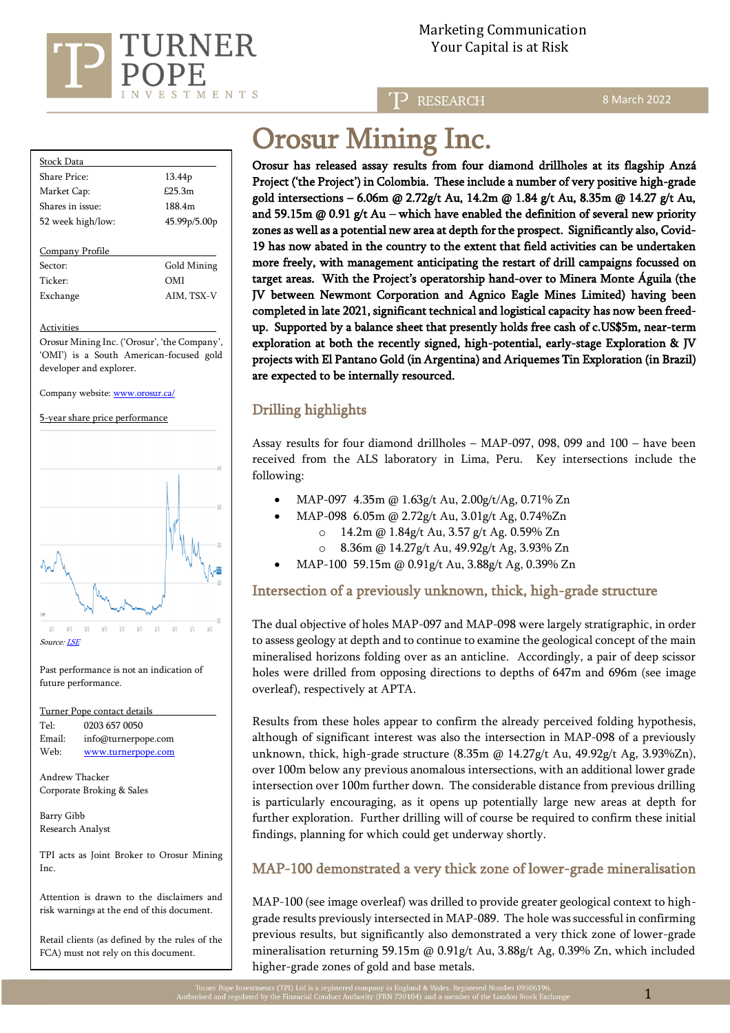

**RESEARCH** 

8 March 2022

| Stock Data        |                    |  |
|-------------------|--------------------|--|
| Share Price:      | 13.44 <sub>p</sub> |  |
| Market Cap:       | £25.3m             |  |
| Shares in issue:  | 188.4m             |  |
| 52 week high/low: | 45.99p/5.00p       |  |
|                   |                    |  |
| Company Profile   |                    |  |

Sector: Gold Mining Ticker: OMI Exchange AIM, TSX-V

#### Activities

Orosur Mining Inc. ('Orosur', 'the Company', 'OMI') is a South American-focused gold developer and explorer.

Company website[: www.orosur.ca/](http://www.orosur.ca/) 

5-year share price performance



Past performance is not an indication of future performance.

| Turner Pope contact details |                     |  |  |  |
|-----------------------------|---------------------|--|--|--|
| Tel:                        | 0203 657 0050       |  |  |  |
| Email:                      | info@turnerpope.com |  |  |  |
| Web:                        | www.turnerpope.com  |  |  |  |

Andrew Thacker Corporate Broking & Sales

Barry Gibb Research Analyst

TPI acts as Joint Broker to Orosur Mining Inc.

Attention is drawn to the disclaimers and risk warnings at the end of this document.

Retail clients (as defined by the rules of the FCA) must not rely on this document.

# Orosur Mining Inc.

Orosur has released assay results from four diamond drillholes at its flagship Anzá Project ('the Project') in Colombia. These include a number of very positive high-grade gold intersections – 6.06m @ 2.72g/t Au, 14.2m @ 1.84 g/t Au, 8.35m @ 14.27 g/t Au, and 59.15m  $@$  0.91 g/t Au – which have enabled the definition of several new priority zones as well as a potential new area at depth for the prospect. Significantly also, Covid-19 has now abated in the country to the extent that field activities can be undertaken more freely, with management anticipating the restart of drill campaigns focussed on target areas. With the Project's operatorship hand-over to Minera Monte Águila (the JV between Newmont Corporation and Agnico Eagle Mines Limited) having been completed in late 2021, significant technical and logistical capacity has now been freedup. Supported by a balance sheet that presently holds free cash of c.US\$5m, near-term exploration at both the recently signed, high-potential, early-stage Exploration & JV projects with El Pantano Gold (in Argentina) and Ariquemes Tin Exploration (in Brazil) are expected to be internally resourced.

# Drilling highlights

Assay results for four diamond drillholes – MAP-097, 098, 099 and 100 – have been received from the ALS laboratory in Lima, Peru. Key intersections include the following:

- MAP-097 4.35m @ 1.63g/t Au, 2.00g/t/Ag, 0.71% Zn
	- MAP-098 6.05m @ 2.72g/t Au, 3.01g/t Ag, 0.74%Zn
		- o 14.2m @ 1.84g/t Au, 3.57 g/t Ag. 0.59% Zn
		- o 8.36m @ 14.27g/t Au, 49.92g/t Ag, 3.93% Zn
- MAP-100 59.15m @ 0.91g/t Au, 3.88g/t Ag, 0.39% Zn

# Intersection of a previously unknown, thick, high-grade structure

The dual objective of holes MAP-097 and MAP-098 were largely stratigraphic, in order to assess geology at depth and to continue to examine the geological concept of the main mineralised horizons folding over as an anticline. Accordingly, a pair of deep scissor holes were drilled from opposing directions to depths of 647m and 696m (see image overleaf), respectively at APTA.

Results from these holes appear to confirm the already perceived folding hypothesis, although of significant interest was also the intersection in MAP-098 of a previously unknown, thick, high-grade structure  $(8.35m \omega 14.27g/t \text{ Au}, 49.92g/t \text{ Ag}, 3.93\% \text{Zn})$ , over 100m below any previous anomalous intersections, with an additional lower grade intersection over 100m further down. The considerable distance from previous drilling is particularly encouraging, as it opens up potentially large new areas at depth for further exploration. Further drilling will of course be required to confirm these initial findings, planning for which could get underway shortly.

# MAP-100 demonstrated a very thick zone of lower-grade mineralisation

MAP-100 (see image overleaf) was drilled to provide greater geological context to highgrade results previously intersected in MAP-089. The hole was successful in confirming previous results, but significantly also demonstrated a very thick zone of lower-grade mineralisation returning 59.15m @ 0.91g/t Au, 3.88g/t Ag, 0.39% Zn, which included higher-grade zones of gold and base metals.

1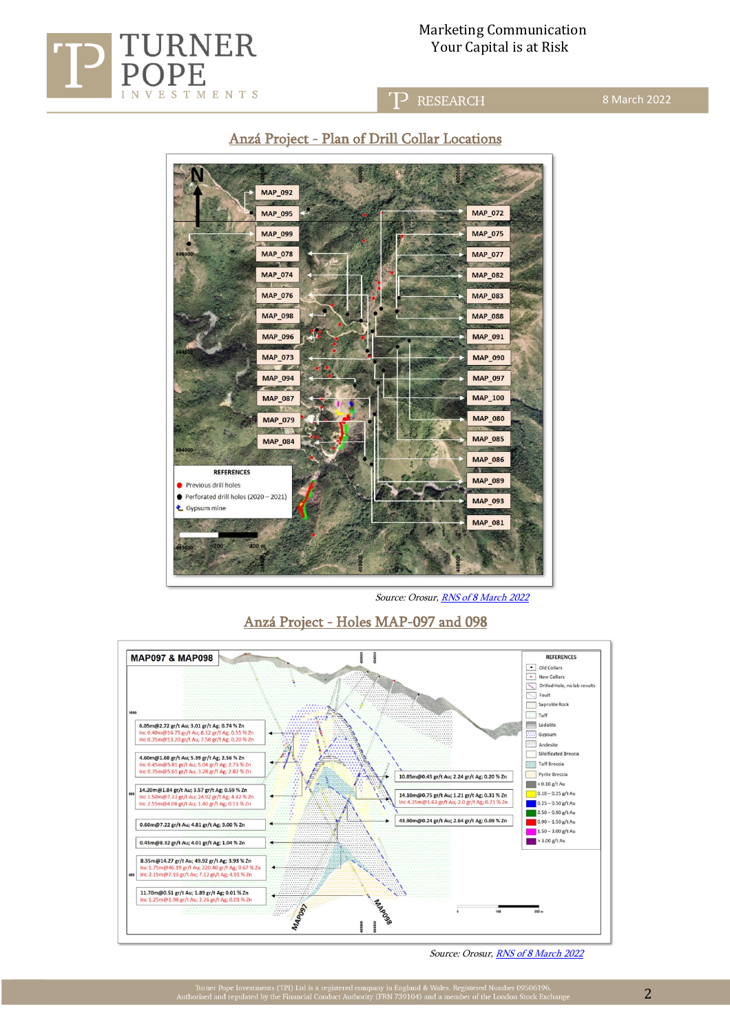

## Marketing Communication  $URR$  Your Capital is at Risk

## **RESEARCH**

8 March 2022

# Anzá Project - Plan of Drill Collar Locations



Source: Orosur[, RNS of 8 March 2022](https://www.londonstockexchange.com/news-article/OMI/colombia-update/15357564)

Anzá Project - Holes MAP-097 and 098



Source: Orosur, [RNS of 8 March 2022](https://www.londonstockexchange.com/news-article/OMI/colombia-update/15357564)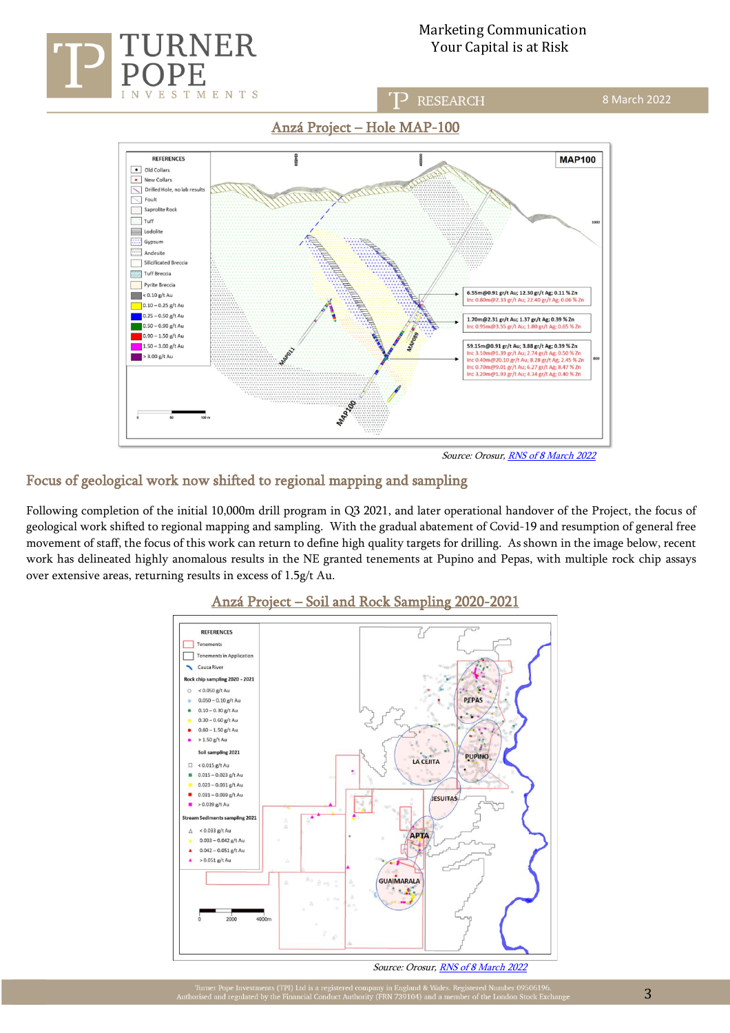

## Marketing Communication RNER Your Capital is at Risk

### **RESEARCH**

# Anzá Project – Hole MAP-100



Source: Orosur, [RNS of 8 March 2022](https://www.londonstockexchange.com/news-article/OMI/colombia-update/15357564)

# Focus of geological work now shifted to regional mapping and sampling

Following completion of the initial 10,000m drill program in Q3 2021, and later operational handover of the Project, the focus of geological work shifted to regional mapping and sampling. With the gradual abatement of Covid-19 and resumption of general free movement of staff, the focus of this work can return to define high quality targets for drilling. As shown in the image below, recent work has delineated highly anomalous results in the NE granted tenements at Pupino and Pepas, with multiple rock chip assays over extensive areas, returning results in excess of 1.5g/t Au.



## Anzá Project – Soil and Rock Sampling 2020-2021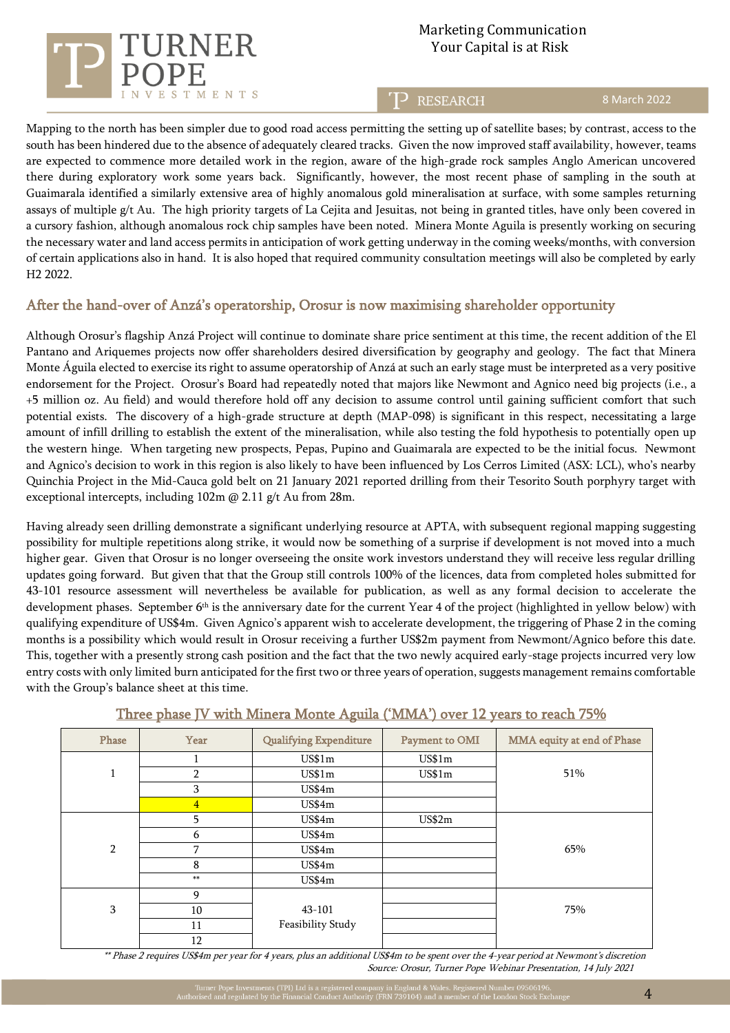

# Marketing Communication Your Capital is at Risk

**RESEARCH** 

#### 8 March 2022

Mapping to the north has been simpler due to good road access permitting the setting up of satellite bases; by contrast, access to the south has been hindered due to the absence of adequately cleared tracks. Given the now improved staff availability, however, teams are expected to commence more detailed work in the region, aware of the high-grade rock samples Anglo American uncovered there during exploratory work some years back. Significantly, however, the most recent phase of sampling in the south at Guaimarala identified a similarly extensive area of highly anomalous gold mineralisation at surface, with some samples returning assays of multiple g/t Au. The high priority targets of La Cejita and Jesuitas, not being in granted titles, have only been covered in a cursory fashion, although anomalous rock chip samples have been noted. Minera Monte Aguila is presently working on securing the necessary water and land access permits in anticipation of work getting underway in the coming weeks/months, with conversion of certain applications also in hand. It is also hoped that required community consultation meetings will also be completed by early H2 2022.

## After the hand-over of Anzá's operatorship, Orosur is now maximising shareholder opportunity

Although Orosur's flagship Anzá Project will continue to dominate share price sentiment at this time, the recent addition of the El Pantano and Ariquemes projects now offer shareholders desired diversification by geography and geology. The fact that Minera Monte Águila elected to exercise its right to assume operatorship of Anzá at such an early stage must be interpreted as a very positive endorsement for the Project. Orosur's Board had repeatedly noted that majors like Newmont and Agnico need big projects (i.e., a +5 million oz. Au field) and would therefore hold off any decision to assume control until gaining sufficient comfort that such potential exists. The discovery of a high-grade structure at depth (MAP-098) is significant in this respect, necessitating a large amount of infill drilling to establish the extent of the mineralisation, while also testing the fold hypothesis to potentially open up the western hinge. When targeting new prospects, Pepas, Pupino and Guaimarala are expected to be the initial focus. Newmont and Agnico's decision to work in this region is also likely to have been influenced by Los Cerros Limited (ASX: LCL), who's nearby Quinchia Project in the Mid-Cauca gold belt on 21 January 2021 reported drilling from their Tesorito South porphyry target with exceptional intercepts, including 102m @ 2.11 g/t Au from 28m.

Having already seen drilling demonstrate a significant underlying resource at APTA, with subsequent regional mapping suggesting possibility for multiple repetitions along strike, it would now be something of a surprise if development is not moved into a much higher gear. Given that Orosur is no longer overseeing the onsite work investors understand they will receive less regular drilling updates going forward. But given that that the Group still controls 100% of the licences, data from completed holes submitted for 43-101 resource assessment will nevertheless be available for publication, as well as any formal decision to accelerate the development phases. September 6<sup>th</sup> is the anniversary date for the current Year 4 of the project (highlighted in yellow below) with qualifying expenditure of US\$4m. Given Agnico's apparent wish to accelerate development, the triggering of Phase 2 in the coming months is a possibility which would result in Orosur receiving a further US\$2m payment from Newmont/Agnico before this date. This, together with a presently strong cash position and the fact that the two newly acquired early-stage projects incurred very low entry costs with only limited burn anticipated for the first two or three years of operation, suggests management remains comfortable with the Group's balance sheet at this time.

| Phase          | Year           | <b>Qualifying Expenditure</b> | Payment to OMI | MMA equity at end of Phase |
|----------------|----------------|-------------------------------|----------------|----------------------------|
|                |                | US\$1m                        | US\$1m         |                            |
| 1<br>Τ.        | $\overline{2}$ | US\$1m                        | US\$1m         | 51%                        |
|                | 3              | US\$4m                        |                |                            |
|                | $\overline{4}$ | US\$4m                        |                |                            |
|                | 5              | US\$4m                        | US\$2m         |                            |
|                | 6              | US\$4m                        |                |                            |
| $\overline{2}$ | 7              | US\$4m                        |                | 65%                        |
|                | 8              | US\$4m                        |                |                            |
|                | $**$           | US\$4m                        |                |                            |
|                | 9              |                               |                |                            |
| 3              | 10             | 43-101                        |                | 75%                        |
|                | 11             | Feasibility Study             |                |                            |
|                | 12             |                               |                |                            |

## Three phase JV with Minera Monte Aguila ('MMA') over 12 years to reach 75%

 \*\* Phase 2 requires US\$4m per year for 4 years, plus an additional US\$4m to be spent over the 4-year period at Newmont's discretion Source: Orosur, Turner Pope Webinar Presentation, 14 July 2021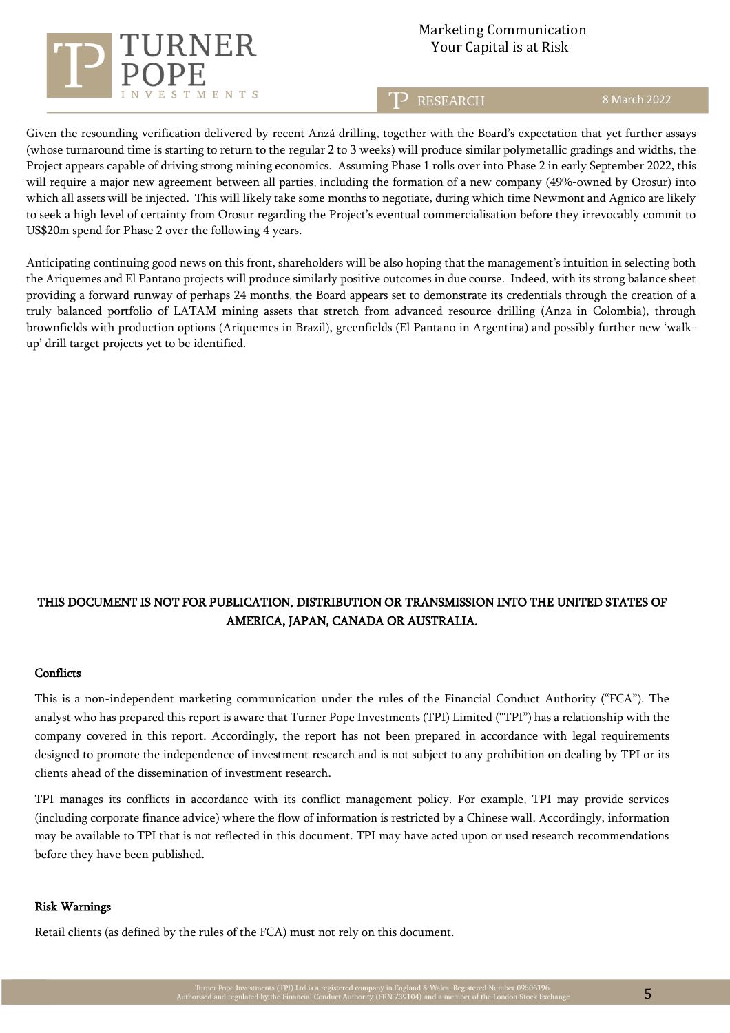

# Marketing Communication Your Capital is at Risk

## **RESEARCH**

8 March 2022

Given the resounding verification delivered by recent Anzá drilling, together with the Board's expectation that yet further assays (whose turnaround time is starting to return to the regular 2 to 3 weeks) will produce similar polymetallic gradings and widths, the Project appears capable of driving strong mining economics. Assuming Phase 1 rolls over into Phase 2 in early September 2022, this will require a major new agreement between all parties, including the formation of a new company (49%-owned by Orosur) into which all assets will be injected. This will likely take some months to negotiate, during which time Newmont and Agnico are likely to seek a high level of certainty from Orosur regarding the Project's eventual commercialisation before they irrevocably commit to US\$20m spend for Phase 2 over the following 4 years.

Anticipating continuing good news on this front, shareholders will be also hoping that the management's intuition in selecting both the Ariquemes and El Pantano projects will produce similarly positive outcomes in due course. Indeed, with its strong balance sheet providing a forward runway of perhaps 24 months, the Board appears set to demonstrate its credentials through the creation of a truly balanced portfolio of LATAM mining assets that stretch from advanced resource drilling (Anza in Colombia), through brownfields with production options (Ariquemes in Brazil), greenfields (El Pantano in Argentina) and possibly further new 'walkup' drill target projects yet to be identified.

# THIS DOCUMENT IS NOT FOR PUBLICATION, DISTRIBUTION OR TRANSMISSION INTO THE UNITED STATES OF AMERICA, JAPAN, CANADA OR AUSTRALIA.

#### **Conflicts**

This is a non-independent marketing communication under the rules of the Financial Conduct Authority ("FCA"). The analyst who has prepared this report is aware that Turner Pope Investments (TPI) Limited ("TPI") has a relationship with the company covered in this report. Accordingly, the report has not been prepared in accordance with legal requirements designed to promote the independence of investment research and is not subject to any prohibition on dealing by TPI or its clients ahead of the dissemination of investment research.

TPI manages its conflicts in accordance with its conflict management policy. For example, TPI may provide services (including corporate finance advice) where the flow of information is restricted by a Chinese wall. Accordingly, information may be available to TPI that is not reflected in this document. TPI may have acted upon or used research recommendations before they have been published.

#### Risk Warnings

Retail clients (as defined by the rules of the FCA) must not rely on this document.